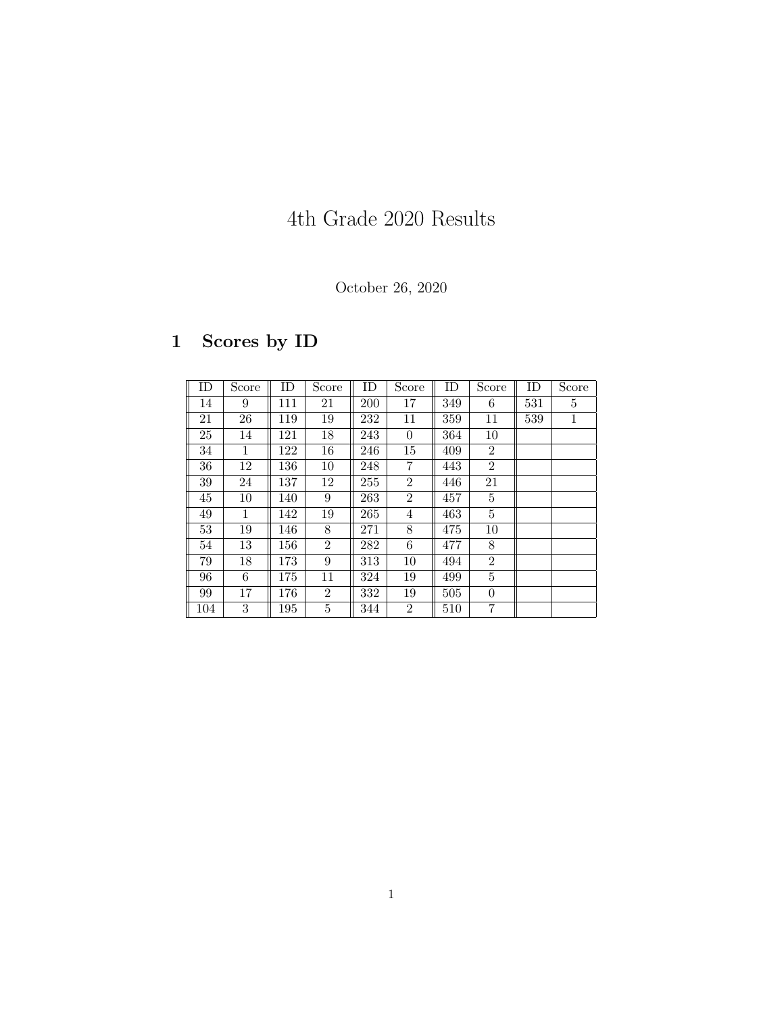## 4th Grade 2020 Results

October 26, 2020

## 1 Scores by ID

| ID  | Score        | ID  | Score          | ID  | Score          | ID  | Score          | ID  | Score        |
|-----|--------------|-----|----------------|-----|----------------|-----|----------------|-----|--------------|
| 14  | 9            | 111 | 21             | 200 | 17             | 349 | 6              | 531 | 5            |
| 21  | 26           | 119 | 19             | 232 | 11             | 359 | 11             | 539 | $\mathbf{1}$ |
| 25  | 14           | 121 | 18             | 243 | $\theta$       | 364 | 10             |     |              |
| 34  | $\mathbf{1}$ | 122 | 16             | 246 | 15             | 409 | $\overline{2}$ |     |              |
| 36  | 12           | 136 | 10             | 248 | $\overline{7}$ | 443 | $\overline{2}$ |     |              |
| 39  | 24           | 137 | 12             | 255 | $\overline{2}$ | 446 | 21             |     |              |
| 45  | 10           | 140 | 9              | 263 | $\overline{2}$ | 457 | 5              |     |              |
| 49  | $\mathbf{1}$ | 142 | 19             | 265 | 4              | 463 | 5              |     |              |
| 53  | 19           | 146 | 8              | 271 | 8              | 475 | 10             |     |              |
| 54  | 13           | 156 | $\overline{2}$ | 282 | 6              | 477 | 8              |     |              |
| 79  | 18           | 173 | 9              | 313 | 10             | 494 | $\overline{2}$ |     |              |
| 96  | 6            | 175 | 11             | 324 | 19             | 499 | 5              |     |              |
| 99  | 17           | 176 | $\overline{2}$ | 332 | 19             | 505 | $\theta$       |     |              |
| 104 | 3            | 195 | 5              | 344 | $\overline{2}$ | 510 | 7              |     |              |